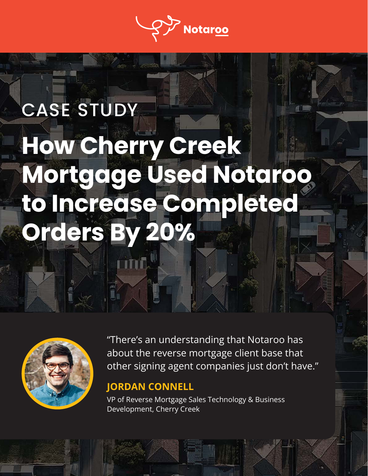

# CASE STUDY **How Cherry Creek Mortgage Used Notaroo to Increase Completed Orders By 20%**



"There's an understanding that Notaroo has about the reverse mortgage client base that other signing agent companies just don't have."

#### **JORDAN CONNELL**

VP of Reverse Mortgage Sales Technology & Business Development, Cherry Creek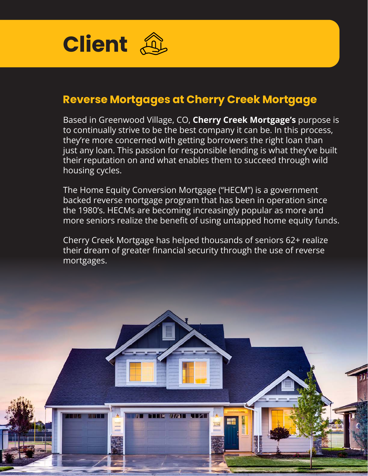

#### **Reverse Mortgages at Cherry Creek Mortgage**

Based in Greenwood Village, CO, **Cherry Creek Mortgage's** purpose is to continually strive to be the best company it can be. In this process, they're more concerned with getting borrowers the right loan than just any loan. This passion for responsible lending is what they've built their reputation on and what enables them to succeed through wild housing cycles.

The Home Equity Conversion Mortgage ("HECM") is a government backed reverse mortgage program that has been in operation since the 1980's. HECMs are becoming increasingly popular as more and more seniors realize the benefit of using untapped home equity funds.

Cherry Creek Mortgage has helped thousands of seniors 62+ realize their dream of greater financial security through the use of reverse mortgages.

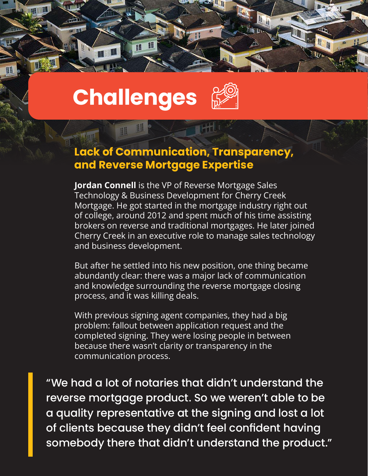

H 睚

ns.

**III** 

#### **Lack of Communication, Transparency, and Reverse Mortgage Expertise**

li a

里 脂

**Jordan Connell** is the VP of Reverse Mortgage Sales Technology & Business Development for Cherry Creek Mortgage. He got started in the mortgage industry right out of college, around 2012 and spent much of his time assisting brokers on reverse and traditional mortgages. He later joined Cherry Creek in an executive role to manage sales technology and business development.

But after he settled into his new position, one thing became abundantly clear: there was a major lack of communication and knowledge surrounding the reverse mortgage closing process, and it was killing deals.

With previous signing agent companies, they had a big problem: fallout between application request and the completed signing. They were losing people in between because there wasn't clarity or transparency in the communication process.

"We had a lot of notaries that didn't understand the reverse mortgage product. So we weren't able to be a quality representative at the signing and lost a lot of clients because they didn't feel confident having somebody there that didn't understand the product."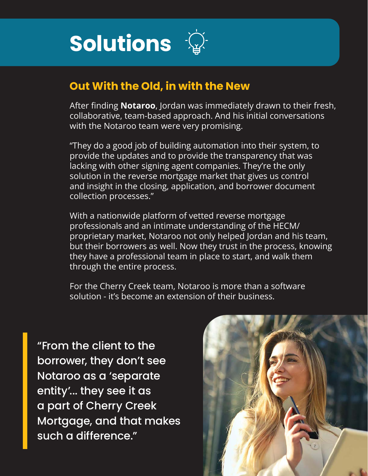

#### **Out With the Old, in with the New**

After finding **Notaroo**, Jordan was immediately drawn to their fresh, collaborative, team-based approach. And his initial conversations with the Notaroo team were very promising.

"They do a good job of building automation into their system, to provide the updates and to provide the transparency that was lacking with other signing agent companies. They're the only solution in the reverse mortgage market that gives us control and insight in the closing, application, and borrower document collection processes."

With a nationwide platform of vetted reverse mortgage professionals and an intimate understanding of the HECM/ proprietary market, Notaroo not only helped Jordan and his team, but their borrowers as well. Now they trust in the process, knowing they have a professional team in place to start, and walk them through the entire process.

For the Cherry Creek team, Notaroo is more than a software solution - it's become an extension of their business.

"From the client to the borrower, they don't see Notaroo as a 'separate entity'... they see it as a part of Cherry Creek Mortgage, and that makes such a difference."

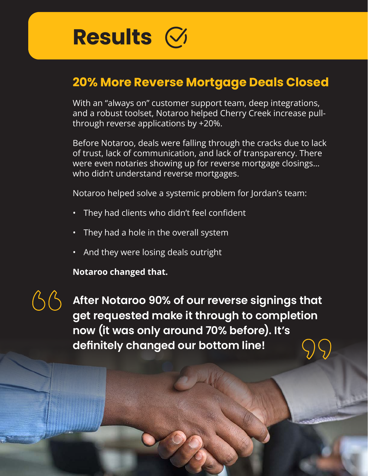

### **20% More Reverse Mortgage Deals Closed**

With an "always on" customer support team, deep integrations, and a robust toolset, Notaroo helped Cherry Creek increase pullthrough reverse applications by +20%.

Before Notaroo, deals were falling through the cracks due to lack of trust, lack of communication, and lack of transparency. There were even notaries showing up for reverse mortgage closings… who didn't understand reverse mortgages.

Notaroo helped solve a systemic problem for Jordan's team:

- They had clients who didn't feel confident
- They had a hole in the overall system
- And they were losing deals outright

**Notaroo changed that.**

**After Notaroo 90% of our reverse signings that get requested make it through to completion now (it was only around 70% before). It's definitely changed our bottom line!**